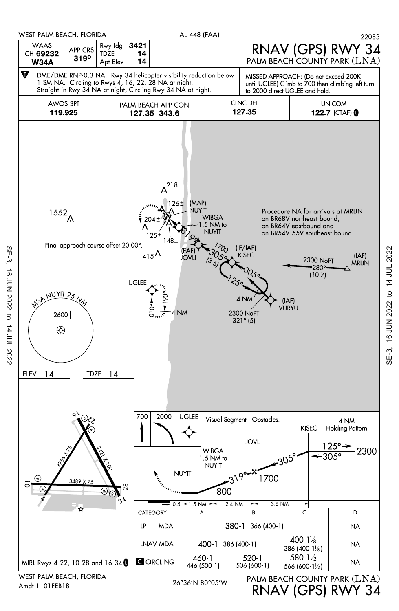

Amdt 1 01FEB18

26°36'N-80°05'W

RNAV (GPS) RWY 34

SE-3, 16 JUN 2022 to 14 JUL 2022

 $SE-3$ ,

to 14 JUL 2022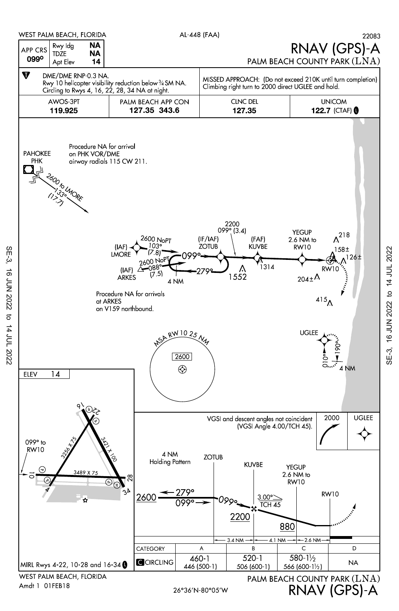

SE-3, 16 JUN 2022 to 14 JUL 2022

16 JUN 2022

 $SE-3$